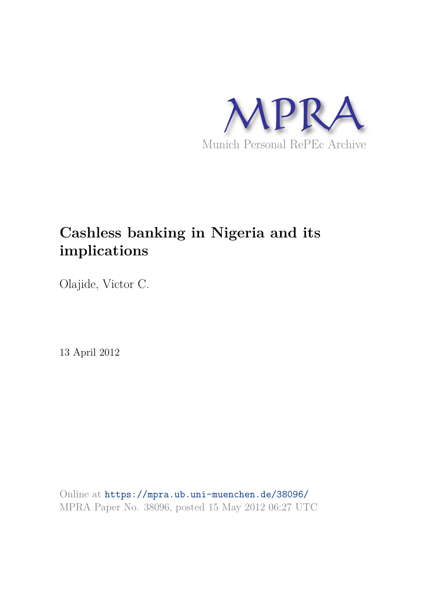

# **Cashless banking in Nigeria and its implications**

Olajide, Victor C.

13 April 2012

Online at https://mpra.ub.uni-muenchen.de/38096/ MPRA Paper No. 38096, posted 15 May 2012 06:27 UTC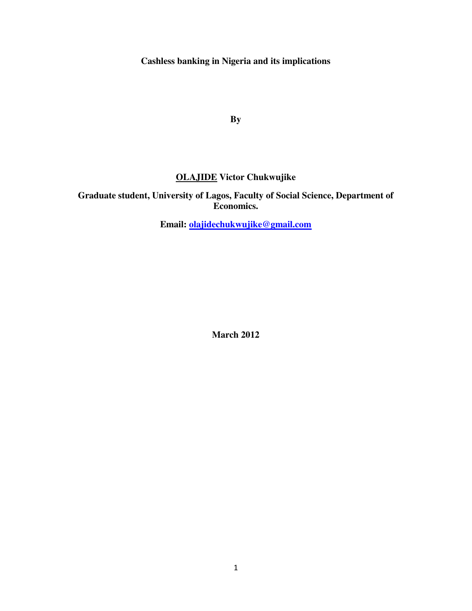**Cashless banking in Nigeria and its implications** 

**By**

# **OLAJIDE Victor Chukwujike**

**Graduate student, University of Lagos, Faculty of Social Science, Department of Economics.** 

**Email: [olajidechukwujike@gmail.com](mailto:olajidechukwujike@gmail.com)** 

**March 2012**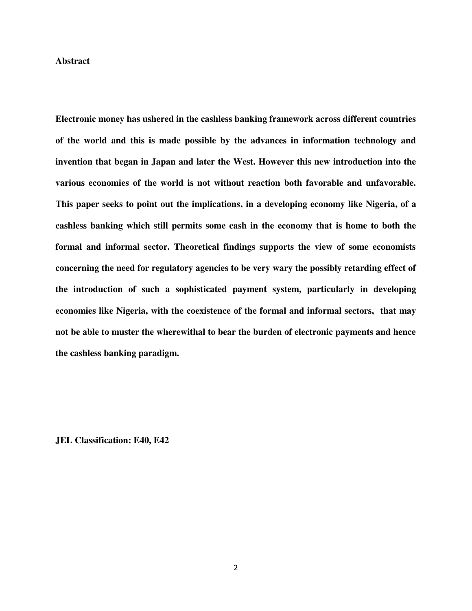#### **Abstract**

**Electronic money has ushered in the cashless banking framework across different countries of the world and this is made possible by the advances in information technology and invention that began in Japan and later the West. However this new introduction into the various economies of the world is not without reaction both favorable and unfavorable. This paper seeks to point out the implications, in a developing economy like Nigeria, of a cashless banking which still permits some cash in the economy that is home to both the formal and informal sector. Theoretical findings supports the view of some economists concerning the need for regulatory agencies to be very wary the possibly retarding effect of the introduction of such a sophisticated payment system, particularly in developing economies like Nigeria, with the coexistence of the formal and informal sectors, that may not be able to muster the wherewithal to bear the burden of electronic payments and hence the cashless banking paradigm.** 

**JEL Classification: E40, E42**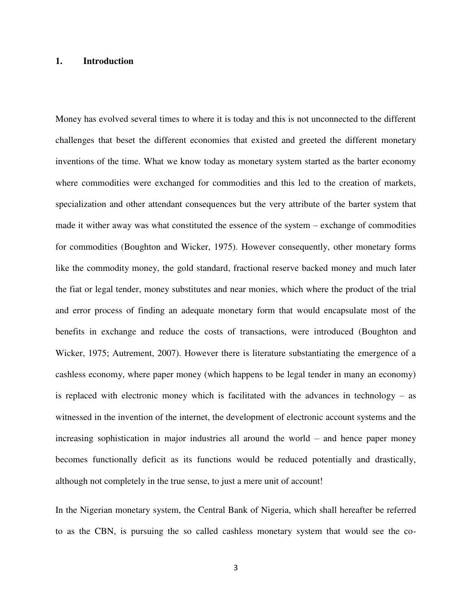#### **1. Introduction**

Money has evolved several times to where it is today and this is not unconnected to the different challenges that beset the different economies that existed and greeted the different monetary inventions of the time. What we know today as monetary system started as the barter economy where commodities were exchanged for commodities and this led to the creation of markets, specialization and other attendant consequences but the very attribute of the barter system that made it wither away was what constituted the essence of the system – exchange of commodities for commodities (Boughton and Wicker, 1975). However consequently, other monetary forms like the commodity money, the gold standard, fractional reserve backed money and much later the fiat or legal tender, money substitutes and near monies, which where the product of the trial and error process of finding an adequate monetary form that would encapsulate most of the benefits in exchange and reduce the costs of transactions, were introduced (Boughton and Wicker, 1975; Autrement, 2007). However there is literature substantiating the emergence of a cashless economy, where paper money (which happens to be legal tender in many an economy) is replaced with electronic money which is facilitated with the advances in technology – as witnessed in the invention of the internet, the development of electronic account systems and the increasing sophistication in major industries all around the world – and hence paper money becomes functionally deficit as its functions would be reduced potentially and drastically, although not completely in the true sense, to just a mere unit of account!

In the Nigerian monetary system, the Central Bank of Nigeria, which shall hereafter be referred to as the CBN, is pursuing the so called cashless monetary system that would see the co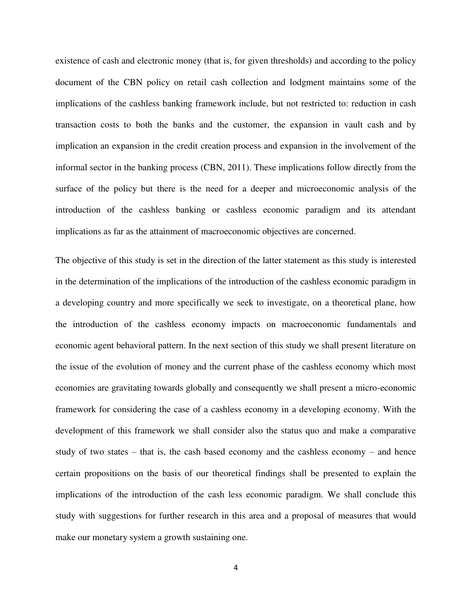existence of cash and electronic money (that is, for given thresholds) and according to the policy document of the CBN policy on retail cash collection and lodgment maintains some of the implications of the cashless banking framework include, but not restricted to: reduction in cash transaction costs to both the banks and the customer, the expansion in vault cash and by implication an expansion in the credit creation process and expansion in the involvement of the informal sector in the banking process (CBN, 2011). These implications follow directly from the surface of the policy but there is the need for a deeper and microeconomic analysis of the introduction of the cashless banking or cashless economic paradigm and its attendant implications as far as the attainment of macroeconomic objectives are concerned.

The objective of this study is set in the direction of the latter statement as this study is interested in the determination of the implications of the introduction of the cashless economic paradigm in a developing country and more specifically we seek to investigate, on a theoretical plane, how the introduction of the cashless economy impacts on macroeconomic fundamentals and economic agent behavioral pattern. In the next section of this study we shall present literature on the issue of the evolution of money and the current phase of the cashless economy which most economies are gravitating towards globally and consequently we shall present a micro-economic framework for considering the case of a cashless economy in a developing economy. With the development of this framework we shall consider also the status quo and make a comparative study of two states – that is, the cash based economy and the cashless economy – and hence certain propositions on the basis of our theoretical findings shall be presented to explain the implications of the introduction of the cash less economic paradigm. We shall conclude this study with suggestions for further research in this area and a proposal of measures that would make our monetary system a growth sustaining one.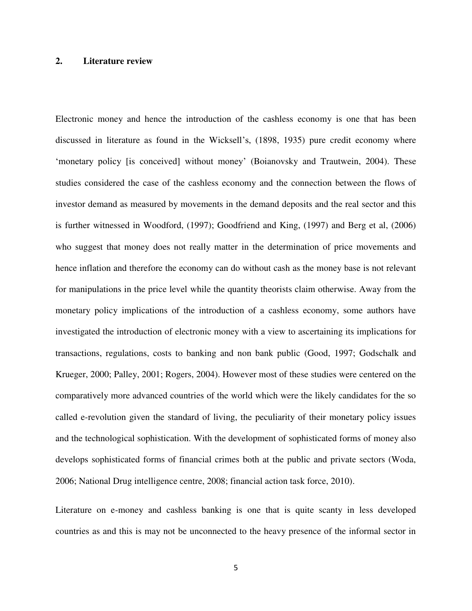# **2. Literature review**

Electronic money and hence the introduction of the cashless economy is one that has been discussed in literature as found in the Wicksell"s, (1898, 1935) pure credit economy where 'monetary policy [is conceived] without money' (Boianovsky and Trautwein, 2004). These studies considered the case of the cashless economy and the connection between the flows of investor demand as measured by movements in the demand deposits and the real sector and this is further witnessed in Woodford, (1997); Goodfriend and King, (1997) and Berg et al, (2006) who suggest that money does not really matter in the determination of price movements and hence inflation and therefore the economy can do without cash as the money base is not relevant for manipulations in the price level while the quantity theorists claim otherwise. Away from the monetary policy implications of the introduction of a cashless economy, some authors have investigated the introduction of electronic money with a view to ascertaining its implications for transactions, regulations, costs to banking and non bank public (Good, 1997; Godschalk and Krueger, 2000; Palley, 2001; Rogers, 2004). However most of these studies were centered on the comparatively more advanced countries of the world which were the likely candidates for the so called e-revolution given the standard of living, the peculiarity of their monetary policy issues and the technological sophistication. With the development of sophisticated forms of money also develops sophisticated forms of financial crimes both at the public and private sectors (Woda, 2006; National Drug intelligence centre, 2008; financial action task force, 2010).

Literature on e-money and cashless banking is one that is quite scanty in less developed countries as and this is may not be unconnected to the heavy presence of the informal sector in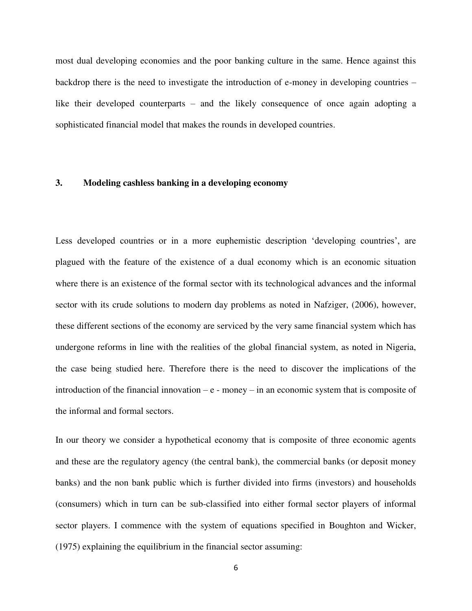most dual developing economies and the poor banking culture in the same. Hence against this backdrop there is the need to investigate the introduction of e-money in developing countries – like their developed counterparts – and the likely consequence of once again adopting a sophisticated financial model that makes the rounds in developed countries.

# **3. Modeling cashless banking in a developing economy**

Less developed countries or in a more euphemistic description 'developing countries', are plagued with the feature of the existence of a dual economy which is an economic situation where there is an existence of the formal sector with its technological advances and the informal sector with its crude solutions to modern day problems as noted in Nafziger, (2006), however, these different sections of the economy are serviced by the very same financial system which has undergone reforms in line with the realities of the global financial system, as noted in Nigeria, the case being studied here. Therefore there is the need to discover the implications of the introduction of the financial innovation  $-e$  - money – in an economic system that is composite of the informal and formal sectors.

In our theory we consider a hypothetical economy that is composite of three economic agents and these are the regulatory agency (the central bank), the commercial banks (or deposit money banks) and the non bank public which is further divided into firms (investors) and households (consumers) which in turn can be sub-classified into either formal sector players of informal sector players. I commence with the system of equations specified in Boughton and Wicker, (1975) explaining the equilibrium in the financial sector assuming: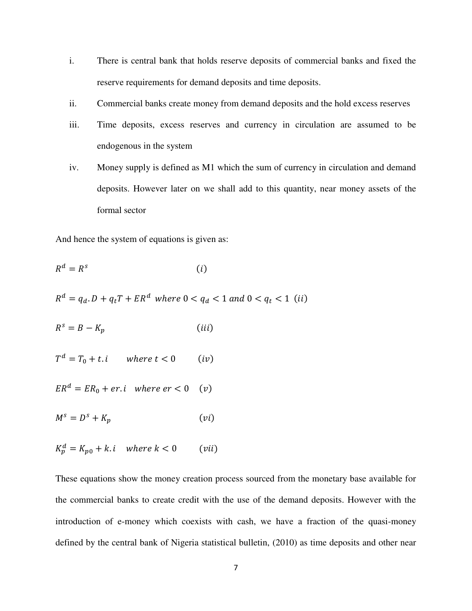- i. There is central bank that holds reserve deposits of commercial banks and fixed the reserve requirements for demand deposits and time deposits.
- ii. Commercial banks create money from demand deposits and the hold excess reserves
- iii. Time deposits, excess reserves and currency in circulation are assumed to be endogenous in the system
- iv. Money supply is defined as M1 which the sum of currency in circulation and demand deposits. However later on we shall add to this quantity, near money assets of the formal sector

And hence the system of equations is given as:

$$
R^d = R^s \tag{i}
$$

 $R^d = q_d \cdot D + q_t T + E R^d$ 

 $(iii)$  $R^{\rm s}$ 

$$
T^d = T_0 + t \cdot i \qquad \text{where } t < 0 \qquad (iv)
$$

 $ER^d = ER_0 + er.i$  where  $er < 0$  (v)

$$
M^s = D^s + K_p \tag{vi}
$$

$$
K_p^d = K_{p0} + k \cdot i \quad \text{where } k < 0 \qquad \text{(vii)}
$$

These equations show the money creation process sourced from the monetary base available for the commercial banks to create credit with the use of the demand deposits. However with the introduction of e-money which coexists with cash, we have a fraction of the quasi-money defined by the central bank of Nigeria statistical bulletin, (2010) as time deposits and other near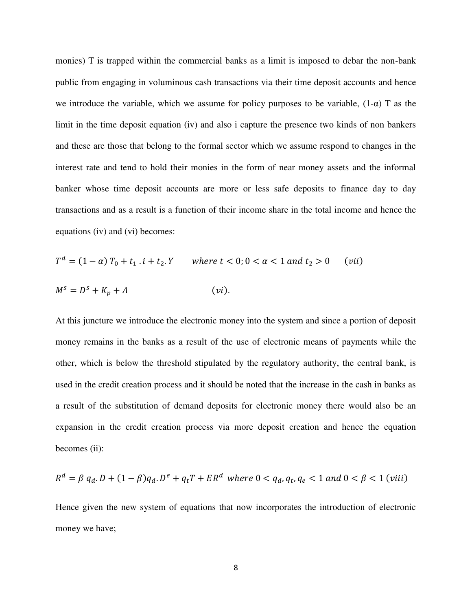monies) T is trapped within the commercial banks as a limit is imposed to debar the non-bank public from engaging in voluminous cash transactions via their time deposit accounts and hence we introduce the variable, which we assume for policy purposes to be variable,  $(1-\alpha)$  T as the limit in the time deposit equation (iv) and also i capture the presence two kinds of non bankers and these are those that belong to the formal sector which we assume respond to changes in the interest rate and tend to hold their monies in the form of near money assets and the informal banker whose time deposit accounts are more or less safe deposits to finance day to day transactions and as a result is a function of their income share in the total income and hence the equations (iv) and (vi) becomes:

$$
T^{d} = (1 - \alpha) T_{0} + t_{1} \cdot i + t_{2} \cdot Y \quad \text{where } t < 0; 0 < \alpha < 1 \text{ and } t_{2} > 0 \quad \text{(vii)}
$$
\n
$$
M^{s} = D^{s} + K_{p} + A \quad \text{(vi)}.
$$

At this juncture we introduce the electronic money into the system and since a portion of deposit money remains in the banks as a result of the use of electronic means of payments while the other, which is below the threshold stipulated by the regulatory authority, the central bank, is used in the credit creation process and it should be noted that the increase in the cash in banks as a result of the substitution of demand deposits for electronic money there would also be an expansion in the credit creation process via more deposit creation and hence the equation becomes (ii):

$$
R^{d} = \beta q_{d} \cdot D + (1 - \beta) q_{d} \cdot D^{e} + q_{t} T + ER^{d} \text{ where } 0 < q_{d}, q_{t}, q_{e} < 1 \text{ and } 0 < \beta < 1 \text{ (viii)}
$$

Hence given the new system of equations that now incorporates the introduction of electronic money we have;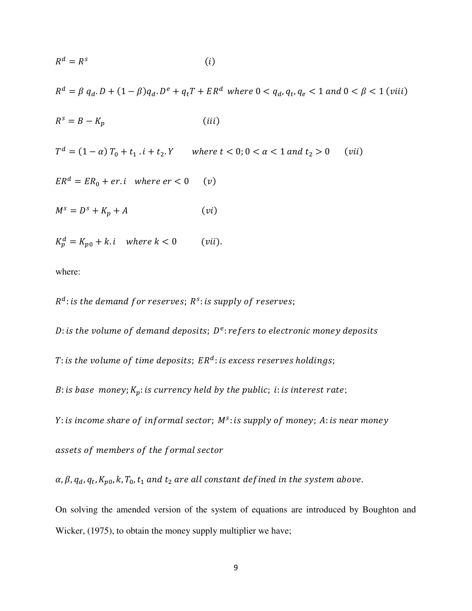$$
R^d = R^s \tag{i}
$$

 $R^d = \beta q_d \cdot D + (1 - \beta) q_d \cdot D^e + q_t T + E R^d$  where  $0 < q_d, q_t$ ,

$$
R^s = B - K_p \tag{iii}
$$

 $T^d$  $(vii)$ 

 $ER^d = ER_0 + er.i$  where  $er < 0$  $(v)$ 

 $M^s = D^s + K_p + A$  $(vi)$ 

 $K_p^d$  $(vii)$ .

where:

 $R^d$ : is the demand f or reserves;  $R^s$ :

D: is the volume of demand deposits;  $D^e$ :

T: is the volume of time deposits;  $ER^a$ :

B: is base money;  $K_p$ : is currency held by the public; i: is interest rate;

Y : is income share of informal sector; M<sup>3</sup> :

assets of members of the formal sector

 $\alpha$ ,  $\beta$ ,  $q_d$ ,  $q_t$ ,

On solving the amended version of the system of equations are introduced by Boughton and Wicker, (1975), to obtain the money supply multiplier we have;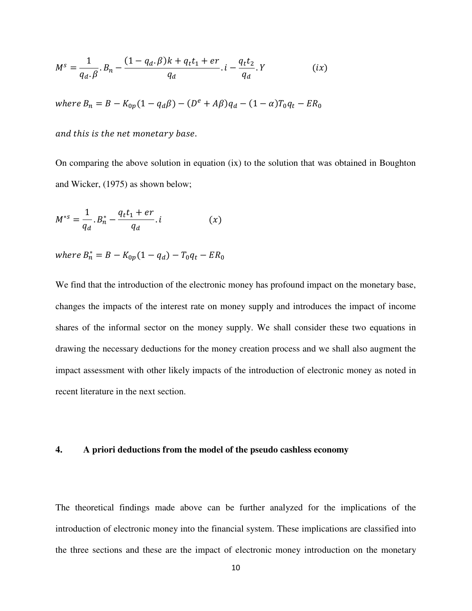$$
M^{s} = \frac{1}{q_{d} \cdot \beta} \cdot B_{n} - \frac{(1 - q_{d} \cdot \beta)k + q_{t}t_{1} + er}{q_{d}} \cdot i - \frac{q_{t}t_{2}}{q_{d}} \cdot Y
$$
 (ix)

where  $B_n = B - K_{0p}(1 - q_d\beta) - (D^e)$ 

and this is the net monetary base.

On comparing the above solution in equation (ix) to the solution that was obtained in Boughton and Wicker, (1975) as shown below;

$$
M^{*s} = \frac{1}{q_d} \cdot B_n^* - \frac{q_t t_1 + er}{q_d} \cdot i \tag{x}
$$

where  $B_n^*$ 

We find that the introduction of the electronic money has profound impact on the monetary base, changes the impacts of the interest rate on money supply and introduces the impact of income shares of the informal sector on the money supply. We shall consider these two equations in drawing the necessary deductions for the money creation process and we shall also augment the impact assessment with other likely impacts of the introduction of electronic money as noted in recent literature in the next section.

#### **4. A priori deductions from the model of the pseudo cashless economy**

The theoretical findings made above can be further analyzed for the implications of the introduction of electronic money into the financial system. These implications are classified into the three sections and these are the impact of electronic money introduction on the monetary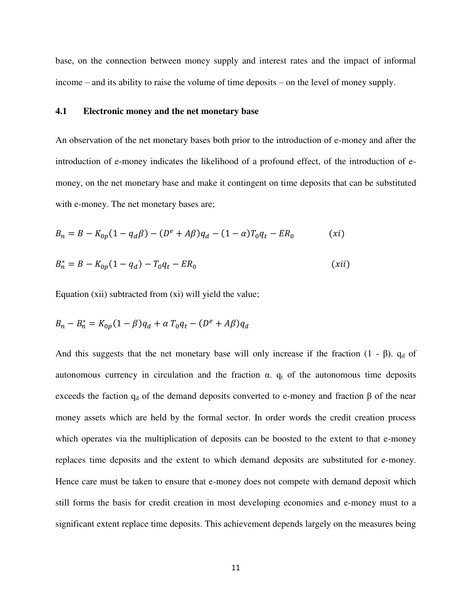base, on the connection between money supply and interest rates and the impact of informal income – and its ability to raise the volume of time deposits – on the level of money supply.

#### **4.1 Electronic money and the net monetary base**

An observation of the net monetary bases both prior to the introduction of e-money and after the introduction of e-money indicates the likelihood of a profound effect, of the introduction of emoney, on the net monetary base and make it contingent on time deposits that can be substituted with e-money. The net monetary bases are;

$$
B_n = B - K_{0p}(1 - q_d\beta) - (D^e + A\beta)q_d - (1 - \alpha)T_0q_t - ER_0 \tag{xi}
$$

$$
B_n^* = B - K_{0p}(1 - q_d) - T_0 q_t - ER_0 \tag{xii}
$$

Equation (xii) subtracted from (xi) will yield the value;

$$
B_n - B_n^* = K_{0p}(1 - \beta)q_d + \alpha T_0 q_t - (D^e + A\beta)q_d
$$

And this suggests that the net monetary base will only increase if the fraction  $(1 - \beta)$ .  $q_d$  of autonomous currency in circulation and the fraction  $\alpha$ .  $q_t$  of the autonomous time deposits exceeds the faction  $q_d$  of the demand deposits converted to e-money and fraction  $\beta$  of the near money assets which are held by the formal sector. In order words the credit creation process which operates via the multiplication of deposits can be boosted to the extent to that e-money replaces time deposits and the extent to which demand deposits are substituted for e-money. Hence care must be taken to ensure that e-money does not compete with demand deposit which still forms the basis for credit creation in most developing economies and e-money must to a significant extent replace time deposits. This achievement depends largely on the measures being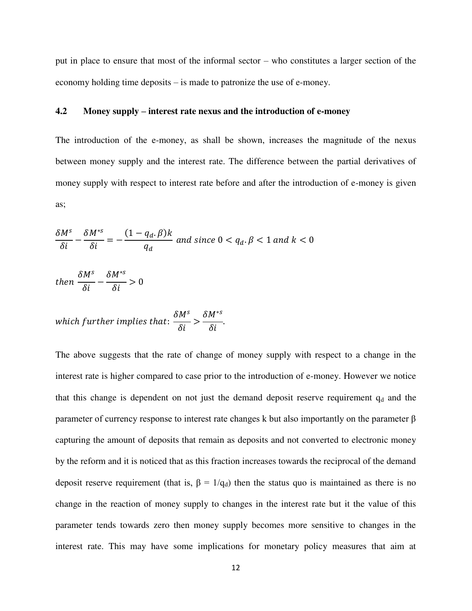put in place to ensure that most of the informal sector – who constitutes a larger section of the economy holding time deposits – is made to patronize the use of e-money.

# **4.2 Money supply – interest rate nexus and the introduction of e-money**

The introduction of the e-money, as shall be shown, increases the magnitude of the nexus between money supply and the interest rate. The difference between the partial derivatives of money supply with respect to interest rate before and after the introduction of e-money is given as;

$$
\frac{\delta M^s}{\delta i} - \frac{\delta M^{*s}}{\delta i} = -\frac{(1 - q_d, \beta)k}{q_d} \text{ and since } 0 < q_d, \beta < 1 \text{ and } k < 0
$$

t  $\delta$  $\delta$  $\delta$  $\delta$ 

which further implies that: 
$$
\frac{\delta M^s}{\delta i} > \frac{\delta M^{*s}}{\delta i}.
$$

The above suggests that the rate of change of money supply with respect to a change in the interest rate is higher compared to case prior to the introduction of e-money. However we notice that this change is dependent on not just the demand deposit reserve requirement  $q_d$  and the parameter of currency response to interest rate changes k but also importantly on the parameter β capturing the amount of deposits that remain as deposits and not converted to electronic money by the reform and it is noticed that as this fraction increases towards the reciprocal of the demand deposit reserve requirement (that is,  $\beta = 1/q_d$ ) then the status quo is maintained as there is no change in the reaction of money supply to changes in the interest rate but it the value of this parameter tends towards zero then money supply becomes more sensitive to changes in the interest rate. This may have some implications for monetary policy measures that aim at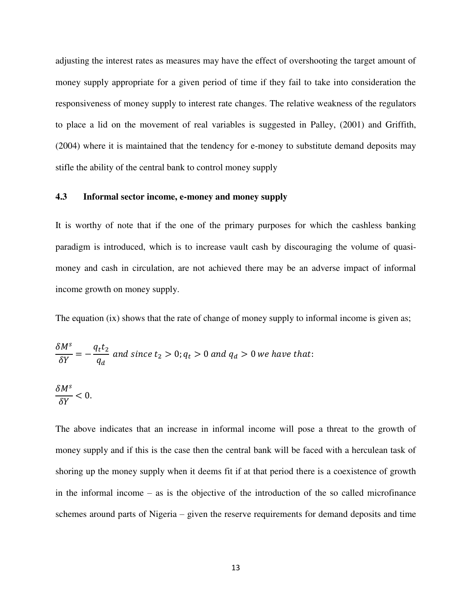adjusting the interest rates as measures may have the effect of overshooting the target amount of money supply appropriate for a given period of time if they fail to take into consideration the responsiveness of money supply to interest rate changes. The relative weakness of the regulators to place a lid on the movement of real variables is suggested in Palley, (2001) and Griffith, (2004) where it is maintained that the tendency for e-money to substitute demand deposits may stifle the ability of the central bank to control money supply

# **4.3 Informal sector income, e-money and money supply**

It is worthy of note that if the one of the primary purposes for which the cashless banking paradigm is introduced, which is to increase vault cash by discouraging the volume of quasimoney and cash in circulation, are not achieved there may be an adverse impact of informal income growth on money supply.

The equation (ix) shows that the rate of change of money supply to informal income is given as;

$$
\frac{\delta M^s}{\delta Y} = -\frac{q_t t_2}{q_d}
$$
 and since  $t_2 > 0$ ;  $q_t > 0$  and  $q_d > 0$  we have that:

$$
\frac{\delta M^s}{\delta Y}<0
$$

The above indicates that an increase in informal income will pose a threat to the growth of money supply and if this is the case then the central bank will be faced with a herculean task of shoring up the money supply when it deems fit if at that period there is a coexistence of growth in the informal income – as is the objective of the introduction of the so called microfinance schemes around parts of Nigeria – given the reserve requirements for demand deposits and time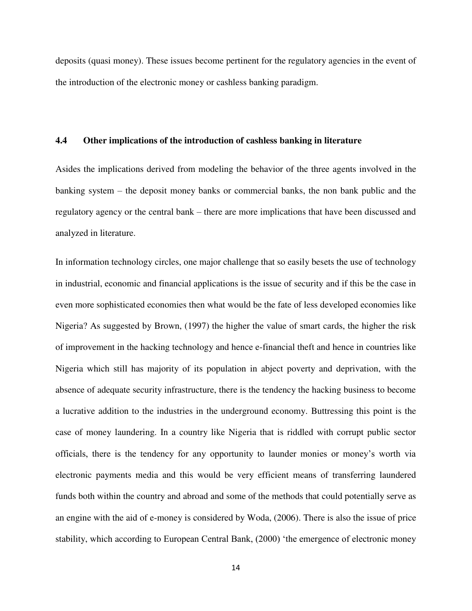deposits (quasi money). These issues become pertinent for the regulatory agencies in the event of the introduction of the electronic money or cashless banking paradigm.

# **4.4 Other implications of the introduction of cashless banking in literature**

Asides the implications derived from modeling the behavior of the three agents involved in the banking system – the deposit money banks or commercial banks, the non bank public and the regulatory agency or the central bank – there are more implications that have been discussed and analyzed in literature.

In information technology circles, one major challenge that so easily besets the use of technology in industrial, economic and financial applications is the issue of security and if this be the case in even more sophisticated economies then what would be the fate of less developed economies like Nigeria? As suggested by Brown, (1997) the higher the value of smart cards, the higher the risk of improvement in the hacking technology and hence e-financial theft and hence in countries like Nigeria which still has majority of its population in abject poverty and deprivation, with the absence of adequate security infrastructure, there is the tendency the hacking business to become a lucrative addition to the industries in the underground economy. Buttressing this point is the case of money laundering. In a country like Nigeria that is riddled with corrupt public sector officials, there is the tendency for any opportunity to launder monies or money"s worth via electronic payments media and this would be very efficient means of transferring laundered funds both within the country and abroad and some of the methods that could potentially serve as an engine with the aid of e-money is considered by Woda, (2006). There is also the issue of price stability, which according to European Central Bank, (2000) "the emergence of electronic money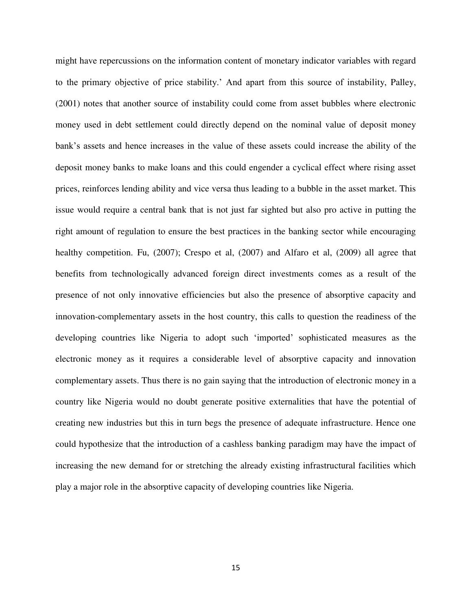might have repercussions on the information content of monetary indicator variables with regard to the primary objective of price stability." And apart from this source of instability, Palley, (2001) notes that another source of instability could come from asset bubbles where electronic money used in debt settlement could directly depend on the nominal value of deposit money bank"s assets and hence increases in the value of these assets could increase the ability of the deposit money banks to make loans and this could engender a cyclical effect where rising asset prices, reinforces lending ability and vice versa thus leading to a bubble in the asset market. This issue would require a central bank that is not just far sighted but also pro active in putting the right amount of regulation to ensure the best practices in the banking sector while encouraging healthy competition. Fu, (2007); Crespo et al, (2007) and Alfaro et al, (2009) all agree that benefits from technologically advanced foreign direct investments comes as a result of the presence of not only innovative efficiencies but also the presence of absorptive capacity and innovation-complementary assets in the host country, this calls to question the readiness of the developing countries like Nigeria to adopt such "imported" sophisticated measures as the electronic money as it requires a considerable level of absorptive capacity and innovation complementary assets. Thus there is no gain saying that the introduction of electronic money in a country like Nigeria would no doubt generate positive externalities that have the potential of creating new industries but this in turn begs the presence of adequate infrastructure. Hence one could hypothesize that the introduction of a cashless banking paradigm may have the impact of increasing the new demand for or stretching the already existing infrastructural facilities which play a major role in the absorptive capacity of developing countries like Nigeria.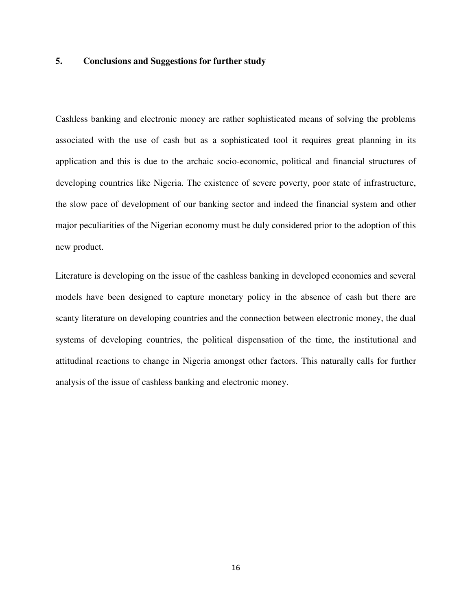# **5. Conclusions and Suggestions for further study**

Cashless banking and electronic money are rather sophisticated means of solving the problems associated with the use of cash but as a sophisticated tool it requires great planning in its application and this is due to the archaic socio-economic, political and financial structures of developing countries like Nigeria. The existence of severe poverty, poor state of infrastructure, the slow pace of development of our banking sector and indeed the financial system and other major peculiarities of the Nigerian economy must be duly considered prior to the adoption of this new product.

Literature is developing on the issue of the cashless banking in developed economies and several models have been designed to capture monetary policy in the absence of cash but there are scanty literature on developing countries and the connection between electronic money, the dual systems of developing countries, the political dispensation of the time, the institutional and attitudinal reactions to change in Nigeria amongst other factors. This naturally calls for further analysis of the issue of cashless banking and electronic money.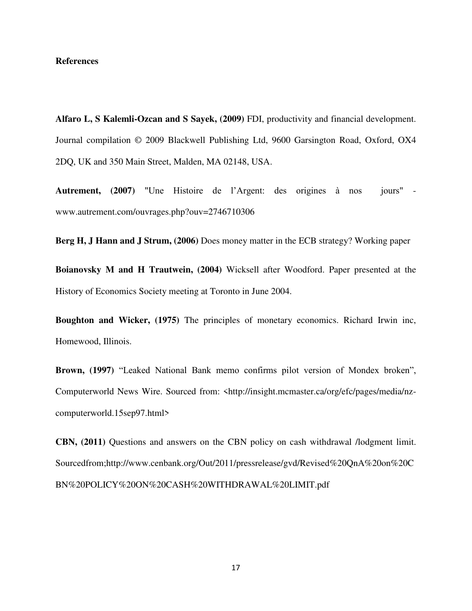#### **References**

**Alfaro L, S Kalemli-Ozcan and S Sayek, (2009)** FDI, productivity and financial development. Journal compilation © 2009 Blackwell Publishing Ltd, 9600 Garsington Road, Oxford, OX4 2DQ, UK and 350 Main Street, Malden, MA 02148, USA.

**Autrement, (2007)** "Une Histoire de l"Argent: des origines à nos jours" www.autrement.com/ouvrages.php?ouv=2746710306

**Berg H, J Hann and J Strum, (2006)** Does money matter in the ECB strategy? Working paper

**Boianovsky M and H Trautwein, (2004)** Wicksell after Woodford. Paper presented at the History of Economics Society meeting at Toronto in June 2004.

**Boughton and Wicker, (1975)** The principles of monetary economics. Richard Irwin inc, Homewood, Illinois.

**Brown, (1997)** "Leaked National Bank memo confirms pilot version of Mondex broken", Computerworld News Wire. Sourced from: <http://insight.mcmaster.ca/org/efc/pages/media/nzcomputerworld.15sep97.html>

**CBN, (2011)** Questions and answers on the CBN policy on cash withdrawal /lodgment limit. Sourcedfrom;http://www.cenbank.org/Out/2011/pressrelease/gvd/Revised%20QnA%20on%20C BN%20POLICY%20ON%20CASH%20WITHDRAWAL%20LIMIT.pdf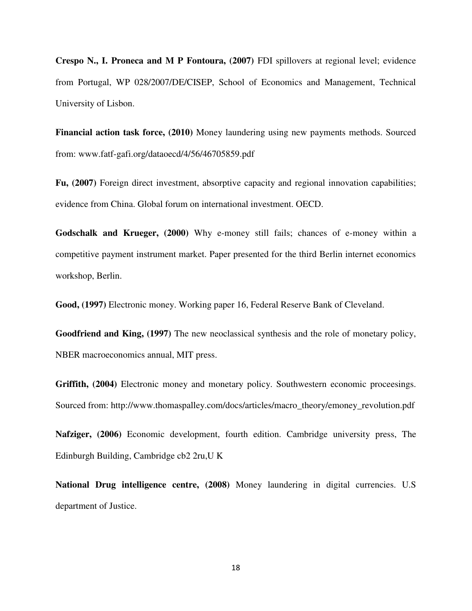**Crespo N., I. Proneca and M P Fontoura, (2007)** FDI spillovers at regional level; evidence from Portugal, WP 028/2007/DE/CISEP, School of Economics and Management, Technical University of Lisbon.

**Financial action task force, (2010)** Money laundering using new payments methods. Sourced from: www.fatf-gafi.org/dataoecd/4/56/46705859.pdf

**Fu, (2007)** Foreign direct investment, absorptive capacity and regional innovation capabilities; evidence from China. Global forum on international investment. OECD.

**Godschalk and Krueger, (2000)** Why e-money still fails; chances of e-money within a competitive payment instrument market. Paper presented for the third Berlin internet economics workshop, Berlin.

**Good, (1997)** Electronic money. Working paper 16, Federal Reserve Bank of Cleveland.

**Goodfriend and King, (1997)** The new neoclassical synthesis and the role of monetary policy, NBER macroeconomics annual, MIT press.

**Griffith, (2004)** Electronic money and monetary policy. Southwestern economic proceesings. Sourced from: http://www.thomaspalley.com/docs/articles/macro\_theory/emoney\_revolution.pdf

**Nafziger, (2006)** Economic development, fourth edition. Cambridge university press, The Edinburgh Building, Cambridge cb2 2ru,U K

**National Drug intelligence centre, (2008)** Money laundering in digital currencies. U.S department of Justice.